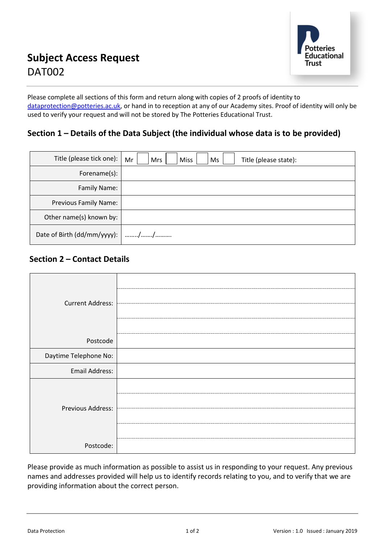

Please complete all sections of this form and return along with copies of 2 proofs of identity to [dataprotection@potteries.ac.uk,](mailto:dataprotection@potteries.ac.uk) or hand in to reception at any of our Academy sites. Proof of identity will only be used to verify your request and will not be stored by The Potteries Educational Trust.

### **Section 1 – Details of the Data Subject (the individual whose data is to be provided)**

| Title (please tick one):         | Mr<br><b>Miss</b><br>Mrs<br>Ms<br>Title (please state): |
|----------------------------------|---------------------------------------------------------|
| Forename(s):                     |                                                         |
| Family Name:                     |                                                         |
| Previous Family Name:            |                                                         |
| Other name(s) known by:          |                                                         |
| Date of Birth (dd/mm/yyyy):   // |                                                         |

## **Section 2 – Contact Details**

| <b>Current Address:</b> |  |
|-------------------------|--|
| Postcode                |  |
| Daytime Telephone No:   |  |
| Email Address:          |  |
| Previous Address:       |  |
| Postcode:               |  |

Please provide as much information as possible to assist us in responding to your request. Any previous names and addresses provided will help us to identify records relating to you, and to verify that we are providing information about the correct person.